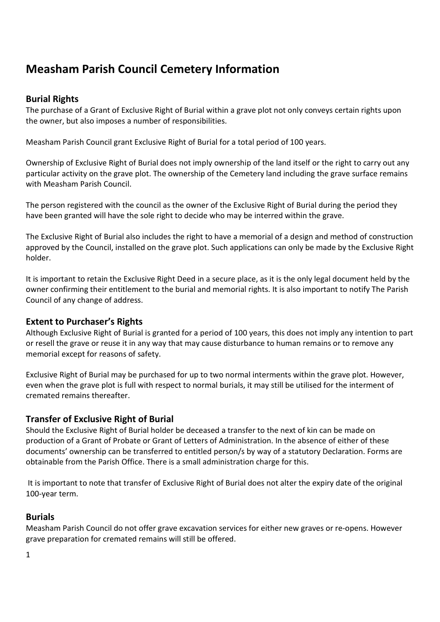# **Measham Parish Council Cemetery Information**

# **Burial Rights**

The purchase of a Grant of Exclusive Right of Burial within a grave plot not only conveys certain rights upon the owner, but also imposes a number of responsibilities.

Measham Parish Council grant Exclusive Right of Burial for a total period of 100 years.

Ownership of Exclusive Right of Burial does not imply ownership of the land itself or the right to carry out any particular activity on the grave plot. The ownership of the Cemetery land including the grave surface remains with Measham Parish Council.

The person registered with the council as the owner of the Exclusive Right of Burial during the period they have been granted will have the sole right to decide who may be interred within the grave.

The Exclusive Right of Burial also includes the right to have a memorial of a design and method of construction approved by the Council, installed on the grave plot. Such applications can only be made by the Exclusive Right holder.

It is important to retain the Exclusive Right Deed in a secure place, as it is the only legal document held by the owner confirming their entitlement to the burial and memorial rights. It is also important to notify The Parish Council of any change of address.

# **Extent to Purchaser's Rights**

Although Exclusive Right of Burial is granted for a period of 100 years, this does not imply any intention to part or resell the grave or reuse it in any way that may cause disturbance to human remains or to remove any memorial except for reasons of safety.

Exclusive Right of Burial may be purchased for up to two normal interments within the grave plot. However, even when the grave plot is full with respect to normal burials, it may still be utilised for the interment of cremated remains thereafter.

# **Transfer of Exclusive Right of Burial**

Should the Exclusive Right of Burial holder be deceased a transfer to the next of kin can be made on production of a Grant of Probate or Grant of Letters of Administration. In the absence of either of these documents' ownership can be transferred to entitled person/s by way of a statutory Declaration. Forms are obtainable from the Parish Office. There is a small administration charge for this.

 It is important to note that transfer of Exclusive Right of Burial does not alter the expiry date of the original 100-year term.

# **Burials**

Measham Parish Council do not offer grave excavation services for either new graves or re-opens. However grave preparation for cremated remains will still be offered.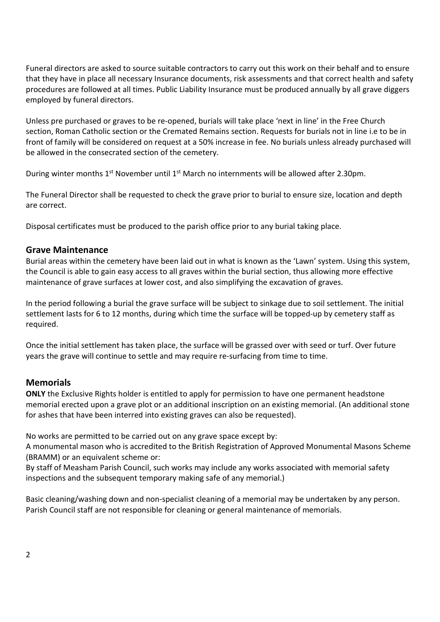Funeral directors are asked to source suitable contractors to carry out this work on their behalf and to ensure that they have in place all necessary Insurance documents, risk assessments and that correct health and safety procedures are followed at all times. Public Liability Insurance must be produced annually by all grave diggers employed by funeral directors.

Unless pre purchased or graves to be re-opened, burials will take place 'next in line' in the Free Church section, Roman Catholic section or the Cremated Remains section. Requests for burials not in line i.e to be in front of family will be considered on request at a 50% increase in fee. No burials unless already purchased will be allowed in the consecrated section of the cemetery.

During winter months 1<sup>st</sup> November until 1<sup>st</sup> March no internments will be allowed after 2.30pm.

The Funeral Director shall be requested to check the grave prior to burial to ensure size, location and depth are correct.

Disposal certificates must be produced to the parish office prior to any burial taking place.

#### **Grave Maintenance**

Burial areas within the cemetery have been laid out in what is known as the 'Lawn' system. Using this system, the Council is able to gain easy access to all graves within the burial section, thus allowing more effective maintenance of grave surfaces at lower cost, and also simplifying the excavation of graves.

In the period following a burial the grave surface will be subject to sinkage due to soil settlement. The initial settlement lasts for 6 to 12 months, during which time the surface will be topped-up by cemetery staff as required.

Once the initial settlement has taken place, the surface will be grassed over with seed or turf. Over future years the grave will continue to settle and may require re-surfacing from time to time.

## **Memorials**

**ONLY** the Exclusive Rights holder is entitled to apply for permission to have one permanent headstone memorial erected upon a grave plot or an additional inscription on an existing memorial. (An additional stone for ashes that have been interred into existing graves can also be requested).

No works are permitted to be carried out on any grave space except by:

A monumental mason who is accredited to the British Registration of Approved Monumental Masons Scheme (BRAMM) or an equivalent scheme or:

By staff of Measham Parish Council, such works may include any works associated with memorial safety inspections and the subsequent temporary making safe of any memorial.)

Basic cleaning/washing down and non-specialist cleaning of a memorial may be undertaken by any person. Parish Council staff are not responsible for cleaning or general maintenance of memorials.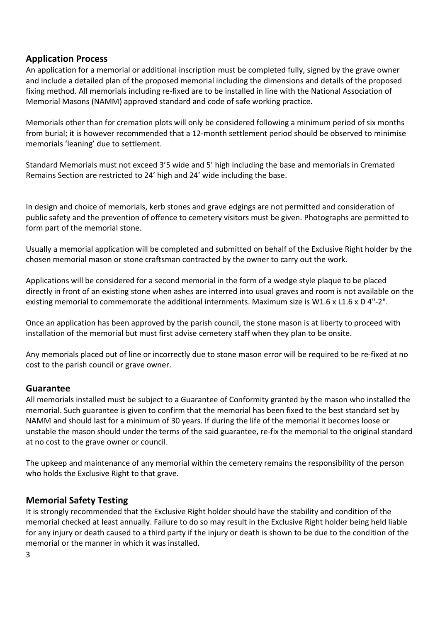## **Application Process**

An application for a memorial or additional inscription must be completed fully, signed by the grave owner and include a detailed plan of the proposed memorial including the dimensions and details of the proposed fixing method. All memorials including re-fixed are to be installed in line with the National Association of Memorial Masons (NAMM) approved standard and code of safe working practice.

Memorials other than for cremation plots will only be considered following a minimum period of six months from burial; it is however recommended that a 12-month settlement period should be observed to minimise memorials 'leaning' due to settlement.

Standard Memorials must not exceed 3'5 wide and 5' high including the base and memorials in Cremated Remains Section are restricted to 24' high and 24' wide including the base.

In design and choice of memorials, kerb stones and grave edgings are not permitted and consideration of public safety and the prevention of offence to cemetery visitors must be given. Photographs are permitted to form part of the memorial stone.

Usually a memorial application will be completed and submitted on behalf of the Exclusive Right holder by the chosen memorial mason or stone craftsman contracted by the owner to carry out the work.

Applications will be considered for a second memorial in the form of a wedge style plaque to be placed directly in front of an existing stone when ashes are interred into usual graves and room is not available on the existing memorial to commemorate the additional internments. Maximum size is W1.6 x L1.6 x D 4"-2".

Once an application has been approved by the parish council, the stone mason is at liberty to proceed with installation of the memorial but must first advise cemetery staff when they plan to be onsite.

Any memorials placed out of line or incorrectly due to stone mason error will be required to be re-fixed at no cost to the parish council or grave owner.

# **Guarantee**

All memorials installed must be subject to a Guarantee of Conformity granted by the mason who installed the memorial. Such guarantee is given to confirm that the memorial has been fixed to the best standard set by NAMM and should last for a minimum of 30 years. If during the life of the memorial it becomes loose or unstable the mason should under the terms of the said guarantee, re-fix the memorial to the original standard at no cost to the grave owner or council.

The upkeep and maintenance of any memorial within the cemetery remains the responsibility of the person who holds the Exclusive Right to that grave.

## **Memorial Safety Testing**

It is strongly recommended that the Exclusive Right holder should have the stability and condition of the memorial checked at least annually. Failure to do so may result in the Exclusive Right holder being held liable for any injury or death caused to a third party if the injury or death is shown to be due to the condition of the memorial or the manner in which it was installed.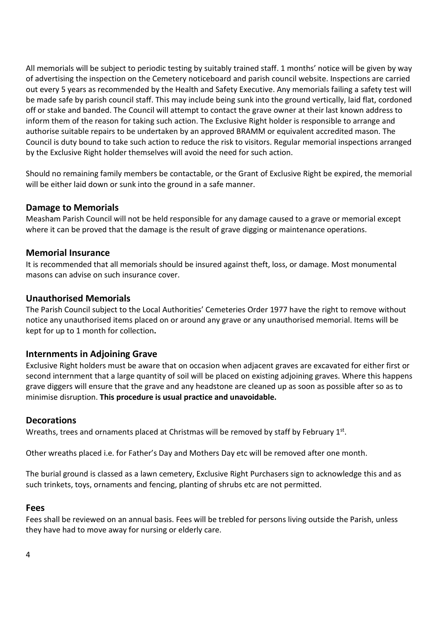All memorials will be subject to periodic testing by suitably trained staff. 1 months' notice will be given by way of advertising the inspection on the Cemetery noticeboard and parish council website. Inspections are carried out every 5 years as recommended by the Health and Safety Executive. Any memorials failing a safety test will be made safe by parish council staff. This may include being sunk into the ground vertically, laid flat, cordoned off or stake and banded. The Council will attempt to contact the grave owner at their last known address to inform them of the reason for taking such action. The Exclusive Right holder is responsible to arrange and authorise suitable repairs to be undertaken by an approved BRAMM or equivalent accredited mason. The Council is duty bound to take such action to reduce the risk to visitors. Regular memorial inspections arranged by the Exclusive Right holder themselves will avoid the need for such action.

Should no remaining family members be contactable, or the Grant of Exclusive Right be expired, the memorial will be either laid down or sunk into the ground in a safe manner.

## **Damage to Memorials**

Measham Parish Council will not be held responsible for any damage caused to a grave or memorial except where it can be proved that the damage is the result of grave digging or maintenance operations.

#### **Memorial Insurance**

It is recommended that all memorials should be insured against theft, loss, or damage. Most monumental masons can advise on such insurance cover.

#### **Unauthorised Memorials**

The Parish Council subject to the Local Authorities' Cemeteries Order 1977 have the right to remove without notice any unauthorised items placed on or around any grave or any unauthorised memorial. Items will be kept for up to 1 month for collection**.** 

#### **Internments in Adjoining Grave**

Exclusive Right holders must be aware that on occasion when adjacent graves are excavated for either first or second internment that a large quantity of soil will be placed on existing adjoining graves. Where this happens grave diggers will ensure that the grave and any headstone are cleaned up as soon as possible after so as to minimise disruption. **This procedure is usual practice and unavoidable.**

#### **Decorations**

Wreaths, trees and ornaments placed at Christmas will be removed by staff by February 1st.

Other wreaths placed i.e. for Father's Day and Mothers Day etc will be removed after one month.

The burial ground is classed as a lawn cemetery, Exclusive Right Purchasers sign to acknowledge this and as such trinkets, toys, ornaments and fencing, planting of shrubs etc are not permitted.

#### **Fees**

Fees shall be reviewed on an annual basis. Fees will be trebled for persons living outside the Parish, unless they have had to move away for nursing or elderly care.